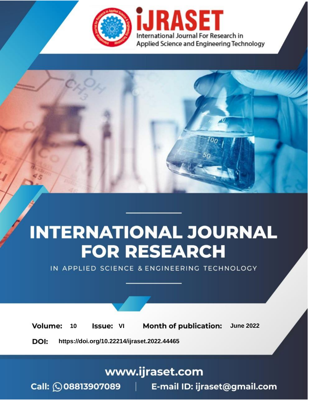

# **INTERNATIONAL JOURNAL FOR RESEARCH**

IN APPLIED SCIENCE & ENGINEERING TECHNOLOGY

**Month of publication: Volume:** 10 **Issue: VI June 2022** 

DOI: https://doi.org/10.22214/ijraset.2022.44465

www.ijraset.com

Call: 008813907089 | E-mail ID: ijraset@gmail.com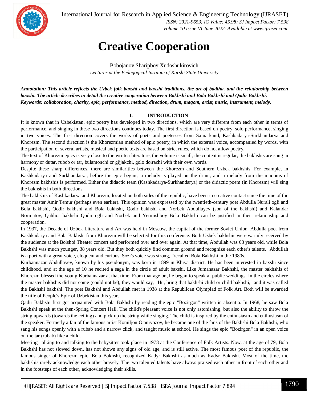

International Journal for Research in Applied Science & Engineering Technology (IJRASET**)**

 *ISSN: 2321-9653; IC Value: 45.98; SJ Impact Factor: 7.538 Volume 10 Issue VI June 2022- Available at www.ijraset.com*

### **Creative Cooperation**

Bobojanov Sharipboy Xudoshukirovich *Lecturer at the Pedagogical Institute of Karshi State University*

*Annotation: This article reflects the Uzbek folk baxshi and baxshi traditions, the art of badiha, and the relationship between baxshi. The article describes in detail the creative cooperation between Bakhshi and Bola Bakhshi and Qadir Bakhshi. Keywords: collaboration, charity, epic, performance, method, direction, drum, maqom, artist, music, instrument, melody.*

#### **I. INTRODUCTION**

It is known that in Uzbekistan, epic poetry has developed in two directions, which are very different from each other in terms of performance, and singing in these two directions continues today. The first direction is based on poetry, solo performance, singing in two voices. The first direction covers the works of poets and poetesses from Samarkand, Kashkadarya-Surkhandarya and Khorezm. The second direction is the Khorezmian method of epic poetry, in which the external voice, accompanied by words, with the participation of several artists, musical and poetic texts are based on strict rules, which do not allow poetry.

The text of Khorezm epics is very close to the written literature, the volume is small, the content is regular, the bakhshis are sung in harmony or dutar, rubob or tar, bulamonchi or gijjakchi, golo doirachi with their own words.

Despite these sharp differences, there are similarities between the Khorezm and Southern Uzbek bakhshis. For example, in Kashkadarya and Surkhandarya, before the epic begins, a melody is played on the drum, and a melody from the maqoms of Khorezm bakhshis is performed. Either the didactic team (Kashkadarya-Surkhandarya) or the didactic poem (in Khorezm) will sing the bakhshis in both directions.

The bakhshis of Kashkadarya and Khorezm, located on both sides of the republic, have been in creative contact since the time of the great master Amir Temur (perhaps even earlier). This opinion was expressed by the twentieth-century poet Abdulla Nurali ogli and Bola bakhshi, Qodir bakhshi and Bola bakhshi, Qodir bakhshi and Norbek Abdullayev (son of the bakhshi) and Kalandar Normatov, Qahhor bakhshi Qodir ogli and Norbek and Yetmishboy Bola Bakhshi can be justified in their relationship and cooperation.

In 1937, the Decade of Uzbek Literature and Art was held in Moscow, the capital of the former Soviet Union. Abdulla poet from Kashkadarya and Bola Bakhshi from Khorezm will be selected for this conference. Both Uzbek bakhshis were warmly received by the audience at the Bolshoi Theater concert and performed over and over again. At that time, Abdullah was 63 years old, while Bola Bakhshi was much younger, 38 years old. But they both quickly find common ground and recognize each other's talents. "Abdullah is a poet with a great voice, eloquent and curious. Sozi's voice was strong, "recalled Bola Bakhshi in the 1980s.

Kurbannazar Abdullayev, known by his pseudonym, was born in 1899 in Khiva district. He has been interested in baxshi since childhood, and at the age of 10 he recited a saga in the circle of adult baxshi. Like Jumanazar Bakhshi, the master bakhshis of Khorezm blessed the young Kurbannazar at that time. From that age on, he began to speak at public weddings. In the circles where the master bakhshis did not come (could not be), they would say, "Hu, bring that bakhshi child or child bakhshi," and it was called the Bakhshi bakhshi. The poet Bakhshi and Abdullah met in 1938 at the Republican Olympiad of Folk Art. Both will be awarded the title of People's Epic of Uzbekistan this year.

Qadir Bakhshi first got acquainted with Bola Bakhshi by reading the epic "Bozirgon" written in absentia. In 1968, he saw Bola Bakhshi speak at the then-Spring Concert Hall. The child's pleasant voice is not only astonishing, but also the ability to throw the string upwards (towards the ceiling) and pick up the string while singing. The child is inspired by the enthusiasm and enthusiasm of the speaker. Formerly a fan of the famous artist Komiljon Otaniyozov, he became one of the fans of the Bakhshi Bola Bakhshi, who sang his songs openly with a rubab and a narrow click, and taught music at school. He sings the epic "Bozirgon" in an open voice on the tar (rubab) like a child.

Meeting, talking to and talking to the babysitter took place in 1978 at the Conference of Folk Artists. Now, at the age of 79, Bola Bakhshi has not slowed down, has not shown any signs of old age, and is still active. The most famous poet of the republic, the famous singer of Khorezm epic, Bola Bakhshi, recognized Kadyr Bakhshi as much as Kadyr Bakhshi. Most of the time, the bakhshis rarely acknowledge each other bravely. The two talented talents have always praised each other in front of each other and in the footsteps of each other, acknowledging their skills.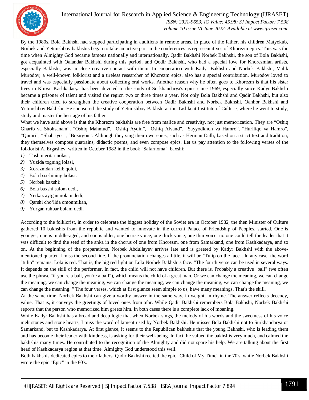

#### International Journal for Research in Applied Science & Engineering Technology (IJRASET**)**

 *ISSN: 2321-9653; IC Value: 45.98; SJ Impact Factor: 7.538 Volume 10 Issue VI June 2022- Available at www.ijraset.com*

By the 1980s, Bola Bakhshi had stopped participating in auditions in remote areas. In place of the father, his children Matyokub, Norbek and Yetmishboy bakhshis began to take an active part in the conferences as representatives of Khorezm epics. This was the time when Almighty God became famous nationally and internationally. Qadir Bakhshi Norbek Bakhshi, the son of Bola Bakhshi, got acquainted with Qalandar Bakhshi during this period, and Qodir Bakhshi, who had a special love for Khorezmian artists, especially Bakhshi, was in close creative contact with them. In cooperation with Kadyr Bakhshi and Norbek Bakhshi, Malik Murodov, a well-known folklorist and a tireless researcher of Khorezm epics, also has a special contribution. Murodov loved to travel and was especially passionate about collecting oral works. Another reason why he often goes to Khorezm is that his sister lives in Khiva. Kashkadarya has been devoted to the study of Surkhandarya's epics since 1969, especially since Kadyr Bakhshi became a prisoner of talent and visited the region two or three times a year. Not only Bola Bakhshi and Qadir Bakhshi, but also their children tried to strengthen the creative cooperation between Qadir Bakhshi and Norbek Bakhshi, Qahhor Bakhshi and Yetmishboy Bakhshi. He sponsored the study of Yetmishboy Bakhshi at the Tashkent Institute of Culture, where he went to study, study and master the heritage of his father.

What we have said above is that the Khorezm bakhshis are free from malice and creativity, not just memorization. They are "Oshiq Gharib va Shohsanam", "Oshiq Mahmud", "Oshiq Aydin", "Oshiq Alvand", "Sayyodkhon va Hamro", "Huriliqo va Hamro", "Qumri", "Shahriyor", "Bozirgon". Although they sing their own epics, such as Herman Dalli, based on a strict text and tradition, they themselves compose quatrains, didactic poems, and even compose epics. Let us pay attention to the following verses of the folklorist A. Ergashev, written in October 1982 in the book "Safarnoma". baxshi:

- *1)* Toshni eritar nolasi,
- *2)* Yuzida togning lolasi,
- *3)* Xorazmdan kelib qoldi,
- *4)* Bola baxshining bolasi.
- *5)* Norbek baxshi:
- *6)* Bola baxshi salom dedi,
- *7)* Yetkaz aytgan nolam dedi,
- *8)* Qarshi cho'lida omonmikan,
- *9)* Yurgan rahbar bolam dedi.

According to the folklorist, in order to celebrate the biggest holiday of the Soviet era in October 1982, the then Minister of Culture gathered 10 bakhshis from the republic and wanted to innovate in the current Palace of Friendship of Peoples. started. One is younger, one is middle-aged, and one is older; one hoarse voice, one thick voice, one thin voice; no one could tell the leader that it was difficult to find the seed of the anka in the chorus of one from Khorezm, one from Samarkand, one from Kashkadarya, and so on. At the beginning of the preparations, Norbek Abdullayev arrives late and is greeted by Kadyr Bakhshi with the abovementioned quartet. I miss the second line. If the pronunciation changes a little, it will be "Tulip on the face". In any case, the word "tulip" remains. Lola is red. That is, the big red light on Lola Norbek Bakhshi's face. "The fourth verse can be used in several ways. It depends on the skill of the performer. In fact, the child will not have children. But there is. Probably a creative "ball" (we often use the phrase "if you're a ball, you're a ball"), which means the child of a great man. Or we can change the meaning, we can change the meaning, we can change the meaning, we can change the meaning, we can change the meaning, we can change the meaning, we can change the meaning. " The four verses, which at first glance seem simple to us, have many meanings. That's the skill.

At the same time, Norbek Bakhshi can give a worthy answer in the same way, in weight, in rhyme. The answer reflects decency, value. That is, it conveys the greetings of loved ones from afar. While Qadir Bakhshi remembers Bola Bakhshi, Norbek Bakhshi reports that the person who memorized him greets him. In both cases there is a complete lack of moaning.

While Kadyr Bakhshi has a broad and deep logic that when Norbek sings, the melody of his words and the sweetness of his voice melt stones and stone hearts, I miss the word of lament used by Norbek Bakhshi. He misses Bola Bakhshi not to Surkhandarya or Samarkand, but to Kashkadarya. At first glance, it seems to the Republican bakhshis that the young Bakhshi, who is leading them and has become their leader with kindness, is asking for their well-being. In fact, he valued the bakhshis very much, and calmed the bakhshis many times. He contributed to the recognition of the Almighty and did not spare his help. We are talking about the first head of Kashkadarya region at that time. Almighty God understood this well.

Both bakhshis dedicated epics to their fathers. Qadir Bakhshi recited the epic "Child of My Time" in the 70's, while Norbek Bakhshi wrote the epic "Epic" in the 80's.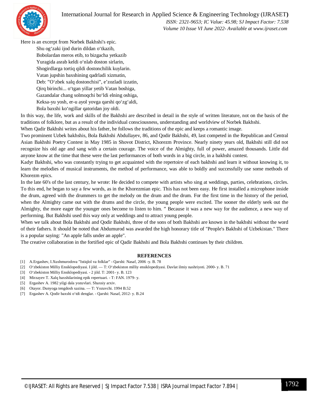

 *ISSN: 2321-9653; IC Value: 45.98; SJ Impact Factor: 7.538 Volume 10 Issue VI June 2022- Available at www.ijraset.com*

Here is an excerpt from Norbek Bakhshi's epic.

Shu og'zaki ijod durin dildan o'tkazib, Bobolardan meros etib, to bizgacha yetkazib Yuragida asrab keldi o'nlab doston sirlarin, Shogirdlarga tortiq qildi dostonchilik kuylarin. Vatan jupshin baxshining qadrladi xizmatin, Deb: "O'zbek xalq dostonchisi", e'zozladi izzatin, Qirq birinchi... o'tgan yillar yetib Vatan boshiga, Gazandalar chang solmoqchi bo'ldi elning oshiga, Keksa-yu yosh, er-u ayol yovga qarshi qo'zg'aldi, Bola baxshi ko'ngillar qatoridan joy oldi.

In this way, the life, work and skills of the Bakhshi are described in detail in the style of written literature, not on the basis of the traditions of folklore, but as a result of the individual consciousness, understanding and worldview of Norbek Bakhshi.

When Qadir Bakhshi writes about his father, he follows the traditions of the epic and keeps a romantic image.

Two prominent Uzbek bakhshis, Bola Bakhshi Abdullayev, 86, and Qodir Bakhshi, 49, last competed in the Republican and Central Asian Bakhshi Poetry Contest in May 1985 in Shovot District, Khorezm Province. Nearly ninety years old, Bakhshi still did not recognize his old age and sang with a certain courage. The voice of the Almighty, full of power, amazed thousands. Little did anyone know at the time that these were the last performances of both words in a big circle, in a bakhshi contest.

Kadyr Bakhshi, who was constantly trying to get acquainted with the repertoire of each bakhshi and learn it without knowing it, to learn the melodies of musical instruments, the method of performance, was able to boldly and successfully use some methods of Khorezm epics.

In the late 60's of the last century, he wrote: He decided to compete with artists who sing at weddings, parties, celebrations, circles. To this end, he began to say a few words, as in the Khorezmian epic. This has not been easy. He first installed a microphone inside the drum, agreed with the drummers to get the melody on the drum and the drum. For the first time in the history of the period, when the Almighty came out with the drums and the circle, the young people were excited. The sooner the elderly seek out the Almighty, the more eager the younger ones become to listen to him. " Because it was a new way for the audience, a new way of performing. But Bakhshi used this way only at weddings and to attract young people.

When we talk about Bola Bakhshi and Qodir Bakhshi, three of the sons of both Bakhshi are known in the bakhshi without the word of their fathers. It should be noted that Abdumurod was awarded the high honorary title of "People's Bakhshi of Uzbekistan." There is a popular saying: "An apple falls under an apple".

The creative collaboration in the fortified epic of Qadir Bakhshi and Bola Bakhshi continues by their children.

#### **REFERENCES**

- [1] A.Ergashev, I.Xushmurodova "Istiqlol va folklar" Qarshi: Nasaf, 2006 -y. B. 78
- [2] O'zbekiston Milliy Ensiklopediyasi. I jild. T: O'zbekiston milliy ensiklopediyasi. Davlat ilmiy nashriyoti. 2000- y. B. 71
- [3] O'zbekiston Milliy Ensiklopediyasi. 2 jild. T: 2001- y. B. 123
- [4] Mirzayev T. Xalq baxshilarining epik repertuari. T: FAN. 1979- y.
- [5] Ergashev A. 1982 yilgi dala yozuvlari. Shaxsiy arxiv.
- [6] Otayor. Dunyoga tengdosh xazina. T: Yozuvchi. 1994 B.52
- [7] Ergashev A. Qodir baxshi o'tdi denglar. Qarshi: Nasaf, 2012- y. B.24